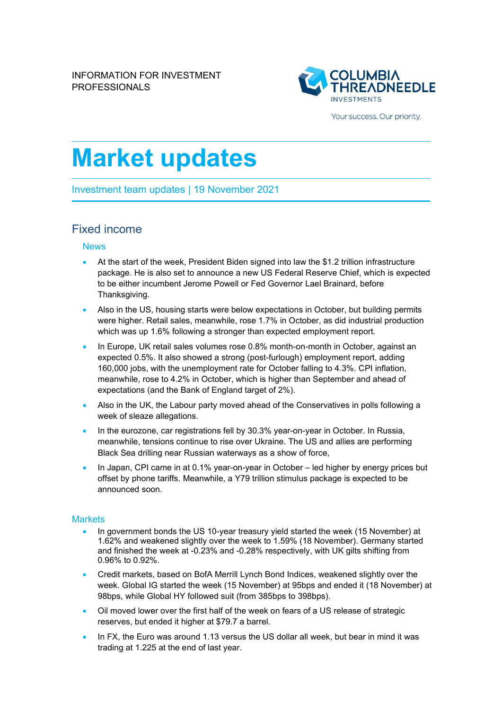

Your success. Our priority.

# **Market updates**

Investment team updates | 19 November 2021

## Fixed income

#### News

- At the start of the week, President Biden signed into law the \$1.2 trillion infrastructure package. He is also set to announce a new US Federal Reserve Chief, which is expected to be either incumbent Jerome Powell or Fed Governor Lael Brainard, before Thanksgiving.
- Also in the US, housing starts were below expectations in October, but building permits were higher. Retail sales, meanwhile, rose 1.7% in October, as did industrial production which was up 1.6% following a stronger than expected employment report.
- In Europe, UK retail sales volumes rose 0.8% month-on-month in October, against an expected 0.5%. It also showed a strong (post-furlough) employment report, adding 160,000 jobs, with the unemployment rate for October falling to 4.3%. CPI inflation, meanwhile, rose to 4.2% in October, which is higher than September and ahead of expectations (and the Bank of England target of 2%).
- Also in the UK, the Labour party moved ahead of the Conservatives in polls following a week of sleaze allegations.
- In the eurozone, car registrations fell by 30.3% year-on-year in October. In Russia, meanwhile, tensions continue to rise over Ukraine. The US and allies are performing Black Sea drilling near Russian waterways as a show of force,
- In Japan, CPI came in at 0.1% year-on-year in October led higher by energy prices but offset by phone tariffs. Meanwhile, a Y79 trillion stimulus package is expected to be announced soon.

#### **Markets**

- In government bonds the US 10-year treasury yield started the week (15 November) at 1.62% and weakened slightly over the week to 1.59% (18 November). Germany started and finished the week at -0.23% and -0.28% respectively, with UK gilts shifting from 0.96% to 0.92%.
- Credit markets, based on BofA Merrill Lynch Bond Indices, weakened slightly over the week. Global IG started the week (15 November) at 95bps and ended it (18 November) at 98bps, while Global HY followed suit (from 385bps to 398bps).
- Oil moved lower over the first half of the week on fears of a US release of strategic reserves, but ended it higher at \$79.7 a barrel.
- In FX, the Euro was around 1.13 versus the US dollar all week, but bear in mind it was trading at 1.225 at the end of last year.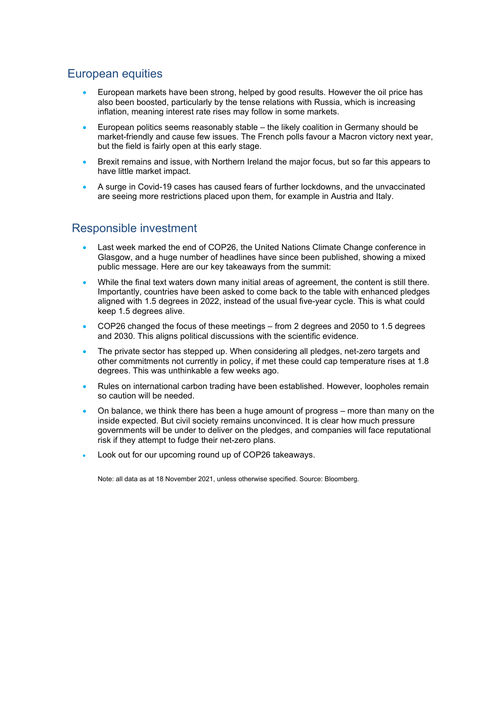# European equities

- European markets have been strong, helped by good results. However the oil price has also been boosted, particularly by the tense relations with Russia, which is increasing inflation, meaning interest rate rises may follow in some markets.
- European politics seems reasonably stable the likely coalition in Germany should be market-friendly and cause few issues. The French polls favour a Macron victory next year, but the field is fairly open at this early stage.
- Brexit remains and issue, with Northern Ireland the major focus, but so far this appears to have little market impact.
- A surge in Covid-19 cases has caused fears of further lockdowns, and the unvaccinated are seeing more restrictions placed upon them, for example in Austria and Italy.

## Responsible investment

- Last week marked the end of COP26, the United Nations Climate Change conference in Glasgow, and a huge number of headlines have since been published, showing a mixed public message. Here are our key takeaways from the summit:
- While the final text waters down many initial areas of agreement, the content is still there. Importantly, countries have been asked to come back to the table with enhanced pledges aligned with 1.5 degrees in 2022, instead of the usual five-year cycle. This is what could keep 1.5 degrees alive.
- COP26 changed the focus of these meetings from 2 degrees and 2050 to 1.5 degrees and 2030. This aligns political discussions with the scientific evidence.
- The private sector has stepped up. When considering all pledges, net-zero targets and other commitments not currently in policy, if met these could cap temperature rises at 1.8 degrees. This was unthinkable a few weeks ago.
- Rules on international carbon trading have been established. However, loopholes remain so caution will be needed.
- On balance, we think there has been a huge amount of progress more than many on the inside expected. But civil society remains unconvinced. It is clear how much pressure governments will be under to deliver on the pledges, and companies will face reputational risk if they attempt to fudge their net-zero plans.
- Look out for our upcoming round up of COP26 takeaways.

Note: all data as at 18 November 2021, unless otherwise specified. Source: Bloomberg.